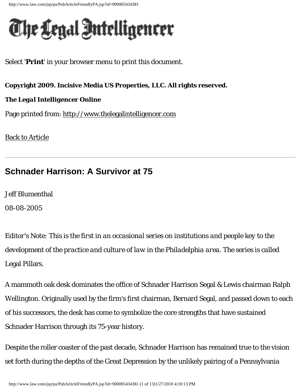http://www.law.com/jsp/pa/PubArticleFriendlyPA.jsp?id=900005434381

## The Legal Intelligencer

Select '**Print**' in your browser menu to print this document.

**Copyright 2009. Incisive Media US Properties, LLC. All rights reserved.** 

## *The Legal Intelligencer* **Online**

Page printed from: [http://www.thelegalintelligencer.com](http://www.law.com/jsp/pa/index.jsp)

[Back to Article](http://www.law.com/jsp/pa/PubArticlePA.jsp?id=900005434381)

## **Schnader Harrison: A Survivor at 75**

Jeff Blumenthal

08-08-2005

*Editor's Note: This is the first in an occasional series on institutions and people key to the development of the practice and culture of law in the Philadelphia area. The series is called* Legal Pillars.

A mammoth oak desk dominates the office of Schnader Harrison Segal & Lewis chairman Ralph Wellington. Originally used by the firm's first chairman, Bernard Segal, and passed down to each of his successors, the desk has come to symbolize the core strengths that have sustained Schnader Harrison through its 75-year history.

Despite the roller coaster of the past decade, Schnader Harrison has remained true to the vision set forth during the depths of the Great Depression by the unlikely pairing of a Pennsylvania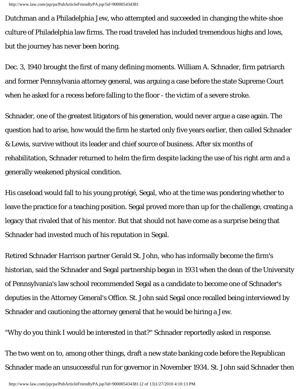Dutchman and a Philadelphia Jew, who attempted and succeeded in changing the white-shoe culture of Philadelphia law firms. The road traveled has included tremendous highs and lows, but the journey has never been boring.

Dec. 3, 1940 brought the first of many defining moments. William A. Schnader, firm patriarch and former Pennsylvania attorney general, was arguing a case before the state Supreme Court when he asked for a recess before falling to the floor - the victim of a severe stroke.

Schnader, one of the greatest litigators of his generation, would never argue a case again. The question had to arise, how would the firm he started only five years earlier, then called Schnader & Lewis, survive without its leader and chief source of business. After six months of rehabilitation, Schnader returned to helm the firm despite lacking the use of his right arm and a generally weakened physical condition.

His caseload would fall to his young protégé, Segal, who at the time was pondering whether to leave the practice for a teaching position. Segal proved more than up for the challenge, creating a legacy that rivaled that of his mentor. But that should not have come as a surprise being that Schnader had invested much of his reputation in Segal.

Retired Schnader Harrison partner Gerald St. John, who has informally become the firm's historian, said the Schnader and Segal partnership began in 1931 when the dean of the University of Pennsylvania's law school recommended Segal as a candidate to become one of Schnader's deputies in the Attorney General's Office. St. John said Segal once recalled being interviewed by Schnader and cautioning the attorney general that he would be hiring a Jew.

"Why do you think I would be interested in that?" Schnader reportedly asked in response.

The two went on to, among other things, draft a new state banking code before the Republican Schnader made an unsuccessful run for governor in November 1934. St. John said Schnader then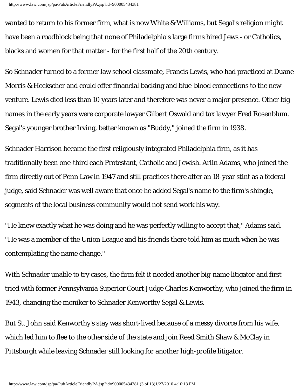wanted to return to his former firm, what is now White & Williams, but Segal's religion might have been a roadblock being that none of Philadelphia's large firms hired Jews - or Catholics, blacks and women for that matter - for the first half of the 20th century.

So Schnader turned to a former law school classmate, Francis Lewis, who had practiced at Duane Morris & Heckscher and could offer financial backing and blue-blood connections to the new venture. Lewis died less than 10 years later and therefore was never a major presence. Other big names in the early years were corporate lawyer Gilbert Oswald and tax lawyer Fred Rosenblum. Segal's younger brother Irving, better known as "Buddy," joined the firm in 1938.

Schnader Harrison became the first religiously integrated Philadelphia firm, as it has traditionally been one-third each Protestant, Catholic and Jewish. Arlin Adams, who joined the firm directly out of Penn Law in 1947 and still practices there after an 18-year stint as a federal judge, said Schnader was well aware that once he added Segal's name to the firm's shingle, segments of the local business community would not send work his way.

"He knew exactly what he was doing and he was perfectly willing to accept that," Adams said. "He was a member of the Union League and his friends there told him as much when he was contemplating the name change."

With Schnader unable to try cases, the firm felt it needed another big-name litigator and first tried with former Pennsylvania Superior Court Judge Charles Kenworthy, who joined the firm in 1943, changing the moniker to Schnader Kenworthy Segal & Lewis.

But St. John said Kenworthy's stay was short-lived because of a messy divorce from his wife, which led him to flee to the other side of the state and join Reed Smith Shaw & McClay in Pittsburgh while leaving Schnader still looking for another high-profile litigator.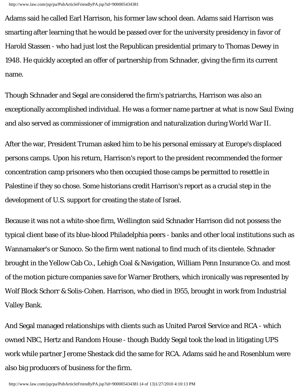Adams said he called Earl Harrison, his former law school dean. Adams said Harrison was smarting after learning that he would be passed over for the university presidency in favor of Harold Stassen - who had just lost the Republican presidential primary to Thomas Dewey in 1948. He quickly accepted an offer of partnership from Schnader, giving the firm its current name.

Though Schnader and Segal are considered the firm's patriarchs, Harrison was also an exceptionally accomplished individual. He was a former name partner at what is now Saul Ewing and also served as commissioner of immigration and naturalization during World War II.

After the war, President Truman asked him to be his personal emissary at Europe's displaced persons camps. Upon his return, Harrison's report to the president recommended the former concentration camp prisoners who then occupied those camps be permitted to resettle in Palestine if they so chose. Some historians credit Harrison's report as a crucial step in the development of U.S. support for creating the state of Israel.

Because it was not a white-shoe firm, Wellington said Schnader Harrison did not possess the typical client base of its blue-blood Philadelphia peers - banks and other local institutions such as Wannamaker's or Sunoco. So the firm went national to find much of its clientele. Schnader brought in the Yellow Cab Co., Lehigh Coal & Navigation, William Penn Insurance Co. and most of the motion picture companies save for Warner Brothers, which ironically was represented by Wolf Block Schorr & Solis-Cohen. Harrison, who died in 1955, brought in work from Industrial Valley Bank.

And Segal managed relationships with clients such as United Parcel Service and RCA - which owned NBC, Hertz and Random House - though Buddy Segal took the lead in litigating UPS work while partner Jerome Shestack did the same for RCA. Adams said he and Rosenblum were also big producers of business for the firm.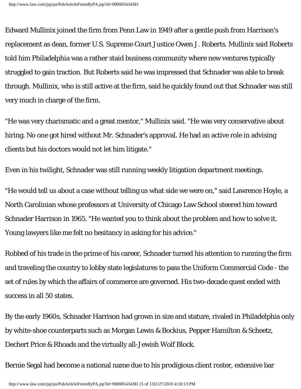Edward Mullinix joined the firm from Penn Law in 1949 after a gentle push from Harrison's replacement as dean, former U.S. Supreme Court Justice Owen J. Roberts. Mullinix said Roberts told him Philadelphia was a rather staid business community where new ventures typically struggled to gain traction. But Roberts said he was impressed that Schnader was able to break through. Mullinix, who is still active at the firm, said he quickly found out that Schnader was still very much in charge of the firm.

"He was very charismatic and a great mentor," Mullinix said. "He was very conservative about hiring. No one got hired without Mr. Schnader's approval. He had an active role in advising clients but his doctors would not let him litigate."

Even in his twilight, Schnader was still running weekly litigation department meetings.

"He would tell us about a case without telling us what side we were on," said Lawrence Hoyle, a North Carolinian whose professors at University of Chicago Law School steered him toward Schnader Harrison in 1965. "He wanted you to think about the problem and how to solve it. Young lawyers like me felt no hesitancy in asking for his advice."

Robbed of his trade in the prime of his career, Schnader turned his attention to running the firm and traveling the country to lobby state legislatures to pass the Uniform Commercial Code - the set of rules by which the affairs of commerce are governed. His two-decade quest ended with success in all 50 states.

By the early 1960s, Schnader Harrison had grown in size and stature, rivaled in Philadelphia only by white-shoe counterparts such as Morgan Lewis & Bockius, Pepper Hamilton & Scheetz, Dechert Price & Rhoads and the virtually all-Jewish Wolf Block.

Bernie Segal had become a national name due to his prodigious client roster, extensive bar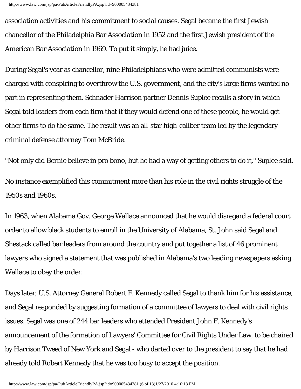association activities and his commitment to social causes. Segal became the first Jewish chancellor of the Philadelphia Bar Association in 1952 and the first Jewish president of the American Bar Association in 1969. To put it simply, he had juice.

During Segal's year as chancellor, nine Philadelphians who were admitted communists were charged with conspiring to overthrow the U.S. government, and the city's large firms wanted no part in representing them. Schnader Harrison partner Dennis Suplee recalls a story in which Segal told leaders from each firm that if they would defend one of these people, he would get other firms to do the same. The result was an all-star high-caliber team led by the legendary criminal defense attorney Tom McBride.

"Not only did Bernie believe in pro bono, but he had a way of getting others to do it," Suplee said. No instance exemplified this commitment more than his role in the civil rights struggle of the 1950s and 1960s.

In 1963, when Alabama Gov. George Wallace announced that he would disregard a federal court order to allow black students to enroll in the University of Alabama, St. John said Segal and Shestack called bar leaders from around the country and put together a list of 46 prominent lawyers who signed a statement that was published in Alabama's two leading newspapers asking Wallace to obey the order.

Days later, U.S. Attorney General Robert F. Kennedy called Segal to thank him for his assistance, and Segal responded by suggesting formation of a committee of lawyers to deal with civil rights issues. Segal was one of 244 bar leaders who attended President John F. Kennedy's announcement of the formation of Lawyers' Committee for Civil Rights Under Law, to be chaired by Harrison Tweed of New York and Segal - who darted over to the president to say that he had already told Robert Kennedy that he was too busy to accept the position.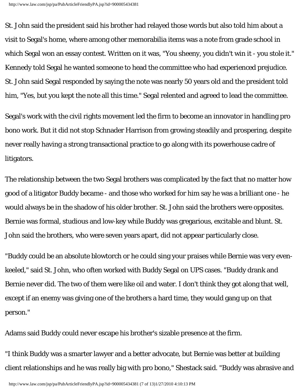St. John said the president said his brother had relayed those words but also told him about a visit to Segal's home, where among other memorabilia items was a note from grade school in which Segal won an essay contest. Written on it was, "You sheeny, you didn't win it - you stole it." Kennedy told Segal he wanted someone to head the committee who had experienced prejudice. St. John said Segal responded by saying the note was nearly 50 years old and the president told him, "Yes, but you kept the note all this time." Segal relented and agreed to lead the committee.

Segal's work with the civil rights movement led the firm to become an innovator in handling pro bono work. But it did not stop Schnader Harrison from growing steadily and prospering, despite never really having a strong transactional practice to go along with its powerhouse cadre of litigators.

The relationship between the two Segal brothers was complicated by the fact that no matter how good of a litigator Buddy became - and those who worked for him say he was a brilliant one - he would always be in the shadow of his older brother. St. John said the brothers were opposites. Bernie was formal, studious and low-key while Buddy was gregarious, excitable and blunt. St. John said the brothers, who were seven years apart, did not appear particularly close.

"Buddy could be an absolute blowtorch or he could sing your praises while Bernie was very evenkeeled," said St. John, who often worked with Buddy Segal on UPS cases. "Buddy drank and Bernie never did. The two of them were like oil and water. I don't think they got along that well, except if an enemy was giving one of the brothers a hard time, they would gang up on that person."

Adams said Buddy could never escape his brother's sizable presence at the firm.

"I think Buddy was a smarter lawyer and a better advocate, but Bernie was better at building client relationships and he was really big with pro bono," Shestack said. "Buddy was abrasive and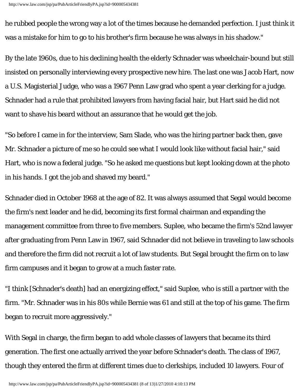he rubbed people the wrong way a lot of the times because he demanded perfection. I just think it was a mistake for him to go to his brother's firm because he was always in his shadow."

By the late 1960s, due to his declining health the elderly Schnader was wheelchair-bound but still insisted on personally interviewing every prospective new hire. The last one was Jacob Hart, now a U.S. Magisterial Judge, who was a 1967 Penn Law grad who spent a year clerking for a judge. Schnader had a rule that prohibited lawyers from having facial hair, but Hart said he did not want to shave his beard without an assurance that he would get the job.

"So before I came in for the interview, Sam Slade, who was the hiring partner back then, gave Mr. Schnader a picture of me so he could see what I would look like without facial hair," said Hart, who is now a federal judge. "So he asked me questions but kept looking down at the photo in his hands. I got the job and shaved my beard."

Schnader died in October 1968 at the age of 82. It was always assumed that Segal would become the firm's next leader and he did, becoming its first formal chairman and expanding the management committee from three to five members. Suplee, who became the firm's 52nd lawyer after graduating from Penn Law in 1967, said Schnader did not believe in traveling to law schools and therefore the firm did not recruit a lot of law students. But Segal brought the firm on to law firm campuses and it began to grow at a much faster rate.

"I think [Schnader's death] had an energizing effect," said Suplee, who is still a partner with the firm. "Mr. Schnader was in his 80s while Bernie was 61 and still at the top of his game. The firm began to recruit more aggressively."

With Segal in charge, the firm began to add whole classes of lawyers that became its third generation. The first one actually arrived the year before Schnader's death. The class of 1967, though they entered the firm at different times due to clerkships, included 10 lawyers. Four of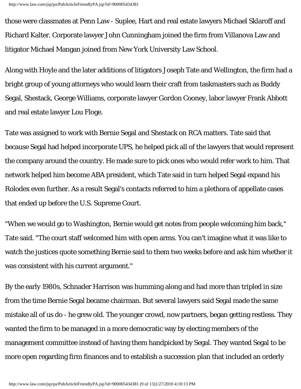those were classmates at Penn Law - Suplee, Hart and real estate lawyers Michael Sklaroff and Richard Kalter. Corporate lawyer John Cunningham joined the firm from Villanova Law and litigator Michael Mangan joined from New York University Law School.

Along with Hoyle and the later additions of litigators Joseph Tate and Wellington, the firm had a bright group of young attorneys who would learn their craft from taskmasters such as Buddy Segal, Shestack, George Williams, corporate lawyer Gordon Cooney, labor lawyer Frank Abbott and real estate lawyer Lou Floge.

Tate was assigned to work with Bernie Segal and Shestack on RCA matters. Tate said that because Segal had helped incorporate UPS, he helped pick all of the lawyers that would represent the company around the country. He made sure to pick ones who would refer work to him. That network helped him become ABA president, which Tate said in turn helped Segal expand his Rolodex even further. As a result Segal's contacts referred to him a plethora of appellate cases that ended up before the U.S. Supreme Court.

"When we would go to Washington, Bernie would get notes from people welcoming him back," Tate said. "The court staff welcomed him with open arms. You can't imagine what it was like to watch the justices quote something Bernie said to them two weeks before and ask him whether it was consistent with his current argument."

By the early 1980s, Schnader Harrison was humming along and had more than tripled in size from the time Bernie Segal became chairman. But several lawyers said Segal made the same mistake all of us do - he grew old. The younger crowd, now partners, began getting restless. They wanted the firm to be managed in a more democratic way by electing members of the management committee instead of having them handpicked by Segal. They wanted Segal to be more open regarding firm finances and to establish a succession plan that included an orderly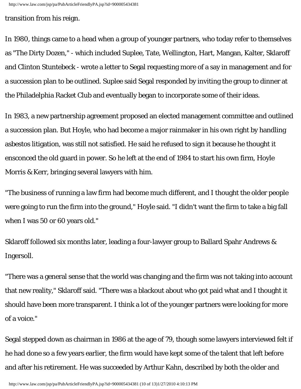transition from his reign.

In 1980, things came to a head when a group of younger partners, who today refer to themselves as "The Dirty Dozen," - which included Suplee, Tate, Wellington, Hart, Mangan, Kalter, Sklaroff and Clinton Stuntebeck - wrote a letter to Segal requesting more of a say in management and for a succession plan to be outlined. Suplee said Segal responded by inviting the group to dinner at the Philadelphia Racket Club and eventually began to incorporate some of their ideas.

In 1983, a new partnership agreement proposed an elected management committee and outlined a succession plan. But Hoyle, who had become a major rainmaker in his own right by handling asbestos litigation, was still not satisfied. He said he refused to sign it because he thought it ensconced the old guard in power. So he left at the end of 1984 to start his own firm, Hoyle Morris & Kerr, bringing several lawyers with him.

"The business of running a law firm had become much different, and I thought the older people were going to run the firm into the ground," Hoyle said. "I didn't want the firm to take a big fall when I was 50 or 60 years old."

Sklaroff followed six months later, leading a four-lawyer group to Ballard Spahr Andrews & Ingersoll.

"There was a general sense that the world was changing and the firm was not taking into account that new reality," Sklaroff said. "There was a blackout about who got paid what and I thought it should have been more transparent. I think a lot of the younger partners were looking for more of a voice."

Segal stepped down as chairman in 1986 at the age of 79, though some lawyers interviewed felt if he had done so a few years earlier, the firm would have kept some of the talent that left before and after his retirement. He was succeeded by Arthur Kahn, described by both the older and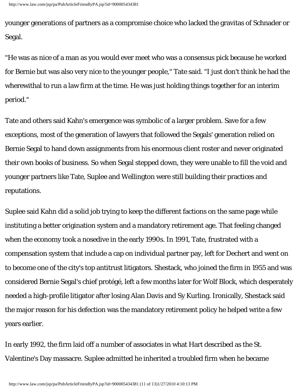younger generations of partners as a compromise choice who lacked the gravitas of Schnader or Segal.

"He was as nice of a man as you would ever meet who was a consensus pick because he worked for Bernie but was also very nice to the younger people," Tate said. "I just don't think he had the wherewithal to run a law firm at the time. He was just holding things together for an interim period."

Tate and others said Kahn's emergence was symbolic of a larger problem. Save for a few exceptions, most of the generation of lawyers that followed the Segals' generation relied on Bernie Segal to hand down assignments from his enormous client roster and never originated their own books of business. So when Segal stepped down, they were unable to fill the void and younger partners like Tate, Suplee and Wellington were still building their practices and reputations.

Suplee said Kahn did a solid job trying to keep the different factions on the same page while instituting a better origination system and a mandatory retirement age. That feeling changed when the economy took a nosedive in the early 1990s. In 1991, Tate, frustrated with a compensation system that include a cap on individual partner pay, left for Dechert and went on to become one of the city's top antitrust litigators. Shestack, who joined the firm in 1955 and was considered Bernie Segal's chief protégé, left a few months later for Wolf Block, which desperately needed a high-profile litigator after losing Alan Davis and Sy Kurling. Ironically, Shestack said the major reason for his defection was the mandatory retirement policy he helped write a few years earlier.

In early 1992, the firm laid off a number of associates in what Hart described as the St. Valentine's Day massacre. Suplee admitted he inherited a troubled firm when he became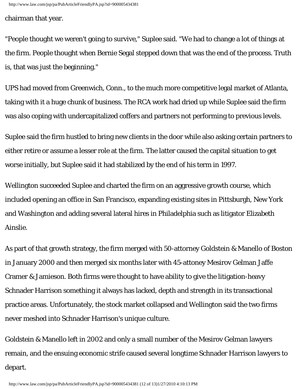chairman that year.

"People thought we weren't going to survive," Suplee said. "We had to change a lot of things at the firm. People thought when Bernie Segal stepped down that was the end of the process. Truth is, that was just the beginning."

UPS had moved from Greenwich, Conn., to the much more competitive legal market of Atlanta, taking with it a huge chunk of business. The RCA work had dried up while Suplee said the firm was also coping with undercapitalized coffers and partners not performing to previous levels.

Suplee said the firm hustled to bring new clients in the door while also asking certain partners to either retire or assume a lesser role at the firm. The latter caused the capital situation to get worse initially, but Suplee said it had stabilized by the end of his term in 1997.

Wellington succeeded Suplee and charted the firm on an aggressive growth course, which included opening an office in San Francisco, expanding existing sites in Pittsburgh, New York and Washington and adding several lateral hires in Philadelphia such as litigator Elizabeth Ainslie.

As part of that growth strategy, the firm merged with 50-attorney Goldstein & Manello of Boston in January 2000 and then merged six months later with 45-attoney Mesirov Gelman Jaffe Cramer & Jamieson. Both firms were thought to have ability to give the litigation-heavy Schnader Harrison something it always has lacked, depth and strength in its transactional practice areas. Unfortunately, the stock market collapsed and Wellington said the two firms never meshed into Schnader Harrison's unique culture.

Goldstein & Manello left in 2002 and only a small number of the Mesirov Gelman lawyers remain, and the ensuing economic strife caused several longtime Schnader Harrison lawyers to depart.